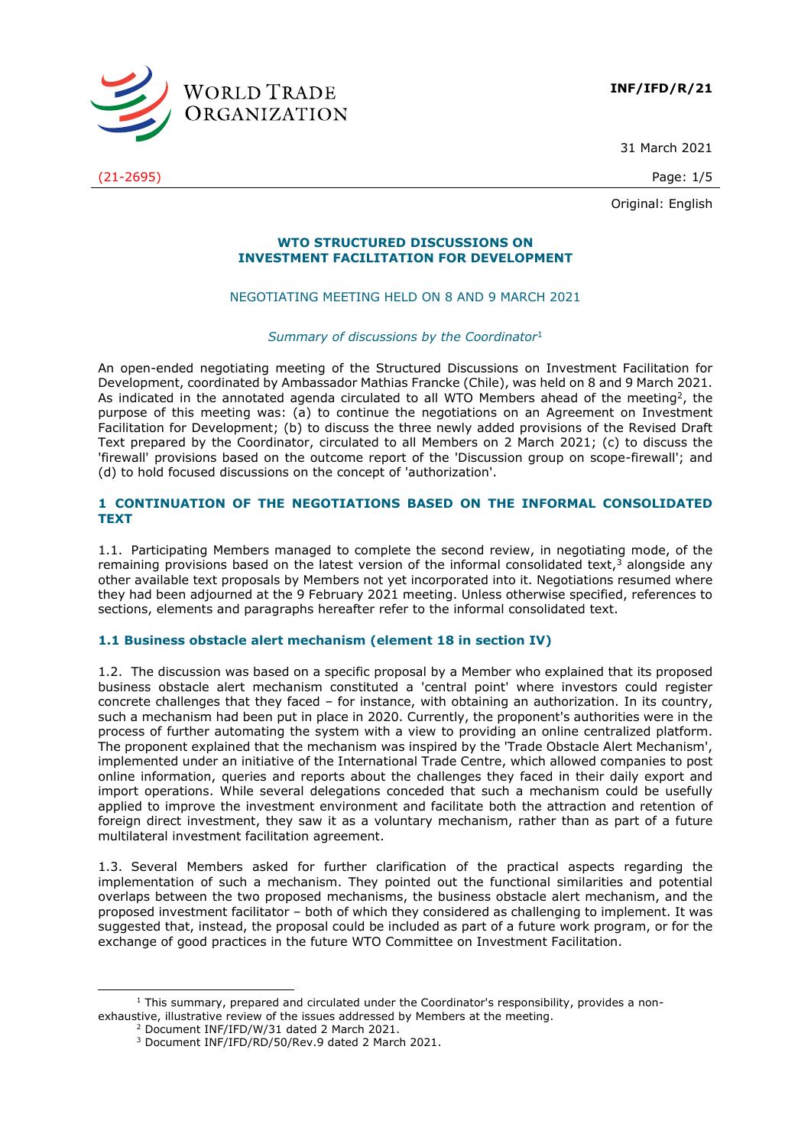

31 March 2021

(21-2695) Page: 1/5

Original: English

#### **WTO STRUCTURED DISCUSSIONS ON INVESTMENT FACILITATION FOR DEVELOPMENT**

# NEGOTIATING MEETING HELD ON 8 AND 9 MARCH 2021

#### *Summary of discussions by the Coordinator*<sup>1</sup>

An open-ended negotiating meeting of the Structured Discussions on Investment Facilitation for Development, coordinated by Ambassador Mathias Francke (Chile), was held on 8 and 9 March 2021. As indicated in the annotated agenda circulated to all WTO Members ahead of the meeting<sup>2</sup>, the purpose of this meeting was: (a) to continue the negotiations on an Agreement on Investment Facilitation for Development; (b) to discuss the three newly added provisions of the Revised Draft Text prepared by the Coordinator, circulated to all Members on 2 March 2021; (c) to discuss the 'firewall' provisions based on the outcome report of the 'Discussion group on scope-firewall'; and (d) to hold focused discussions on the concept of 'authorization'.

## **1 CONTINUATION OF THE NEGOTIATIONS BASED ON THE INFORMAL CONSOLIDATED TEXT**

1.1. Participating Members managed to complete the second review, in negotiating mode, of the remaining provisions based on the latest version of the informal consolidated text,  $\overline{3}$  alongside any other available text proposals by Members not yet incorporated into it. Negotiations resumed where they had been adjourned at the 9 February 2021 meeting. Unless otherwise specified, references to sections, elements and paragraphs hereafter refer to the informal consolidated text.

#### **1.1 Business obstacle alert mechanism (element 18 in section IV)**

1.2. The discussion was based on a specific proposal by a Member who explained that its proposed business obstacle alert mechanism constituted a 'central point' where investors could register concrete challenges that they faced – for instance, with obtaining an authorization. In its country, such a mechanism had been put in place in 2020. Currently, the proponent's authorities were in the process of further automating the system with a view to providing an online centralized platform. The proponent explained that the mechanism was inspired by the 'Trade Obstacle Alert Mechanism', implemented under an initiative of the International Trade Centre, which allowed companies to post online information, queries and reports about the challenges they faced in their daily export and import operations. While several delegations conceded that such a mechanism could be usefully applied to improve the investment environment and facilitate both the attraction and retention of foreign direct investment, they saw it as a voluntary mechanism, rather than as part of a future multilateral investment facilitation agreement.

1.3. Several Members asked for further clarification of the practical aspects regarding the implementation of such a mechanism. They pointed out the functional similarities and potential overlaps between the two proposed mechanisms, the business obstacle alert mechanism, and the proposed investment facilitator – both of which they considered as challenging to implement. It was suggested that, instead, the proposal could be included as part of a future work program, or for the exchange of good practices in the future WTO Committee on Investment Facilitation.

 $1$  This summary, prepared and circulated under the Coordinator's responsibility, provides a nonexhaustive, illustrative review of the issues addressed by Members at the meeting.

<sup>&</sup>lt;sup>2</sup> Document INF/IFD/W/31 dated 2 March 2021.

<sup>3</sup> Document INF/IFD/RD/50/Rev.9 dated 2 March 2021.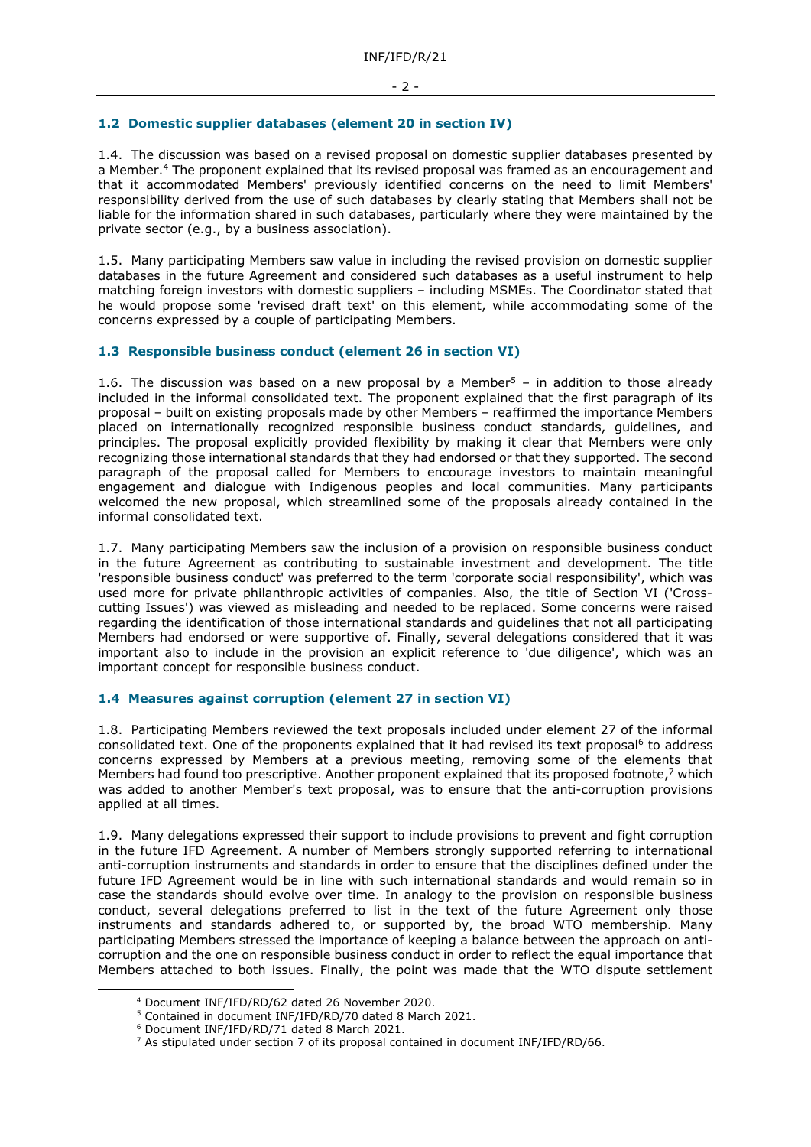#### **1.2 Domestic supplier databases (element 20 in section IV)**

1.4. The discussion was based on a revised proposal on domestic supplier databases presented by a Member. <sup>4</sup> The proponent explained that its revised proposal was framed as an encouragement and that it accommodated Members' previously identified concerns on the need to limit Members' responsibility derived from the use of such databases by clearly stating that Members shall not be liable for the information shared in such databases, particularly where they were maintained by the private sector (e.g., by a business association).

1.5. Many participating Members saw value in including the revised provision on domestic supplier databases in the future Agreement and considered such databases as a useful instrument to help matching foreign investors with domestic suppliers – including MSMEs. The Coordinator stated that he would propose some 'revised draft text' on this element, while accommodating some of the concerns expressed by a couple of participating Members.

#### **1.3 Responsible business conduct (element 26 in section VI)**

1.6. The discussion was based on a new proposal by a Member<sup>5</sup> – in addition to those already included in the informal consolidated text. The proponent explained that the first paragraph of its proposal – built on existing proposals made by other Members – reaffirmed the importance Members placed on internationally recognized responsible business conduct standards, guidelines, and principles. The proposal explicitly provided flexibility by making it clear that Members were only recognizing those international standards that they had endorsed or that they supported. The second paragraph of the proposal called for Members to encourage investors to maintain meaningful engagement and dialogue with Indigenous peoples and local communities. Many participants welcomed the new proposal, which streamlined some of the proposals already contained in the informal consolidated text.

1.7. Many participating Members saw the inclusion of a provision on responsible business conduct in the future Agreement as contributing to sustainable investment and development. The title 'responsible business conduct' was preferred to the term 'corporate social responsibility', which was used more for private philanthropic activities of companies. Also, the title of Section VI ('Crosscutting Issues') was viewed as misleading and needed to be replaced. Some concerns were raised regarding the identification of those international standards and guidelines that not all participating Members had endorsed or were supportive of. Finally, several delegations considered that it was important also to include in the provision an explicit reference to 'due diligence', which was an important concept for responsible business conduct.

#### **1.4 Measures against corruption (element 27 in section VI)**

1.8. Participating Members reviewed the text proposals included under element 27 of the informal consolidated text. One of the proponents explained that it had revised its text proposal<sup>6</sup> to address concerns expressed by Members at a previous meeting, removing some of the elements that Members had found too prescriptive. Another proponent explained that its proposed footnote,<sup>7</sup> which was added to another Member's text proposal, was to ensure that the anti-corruption provisions applied at all times.

1.9. Many delegations expressed their support to include provisions to prevent and fight corruption in the future IFD Agreement. A number of Members strongly supported referring to international anti-corruption instruments and standards in order to ensure that the disciplines defined under the future IFD Agreement would be in line with such international standards and would remain so in case the standards should evolve over time. In analogy to the provision on responsible business conduct, several delegations preferred to list in the text of the future Agreement only those instruments and standards adhered to, or supported by, the broad WTO membership. Many participating Members stressed the importance of keeping a balance between the approach on anticorruption and the one on responsible business conduct in order to reflect the equal importance that Members attached to both issues. Finally, the point was made that the WTO dispute settlement

<sup>4</sup> Document INF/IFD/RD/62 dated 26 November 2020.

<sup>5</sup> Contained in document INF/IFD/RD/70 dated 8 March 2021.

<sup>6</sup> Document INF/IFD/RD/71 dated 8 March 2021.

<sup>7</sup> As stipulated under section 7 of its proposal contained in document INF/IFD/RD/66.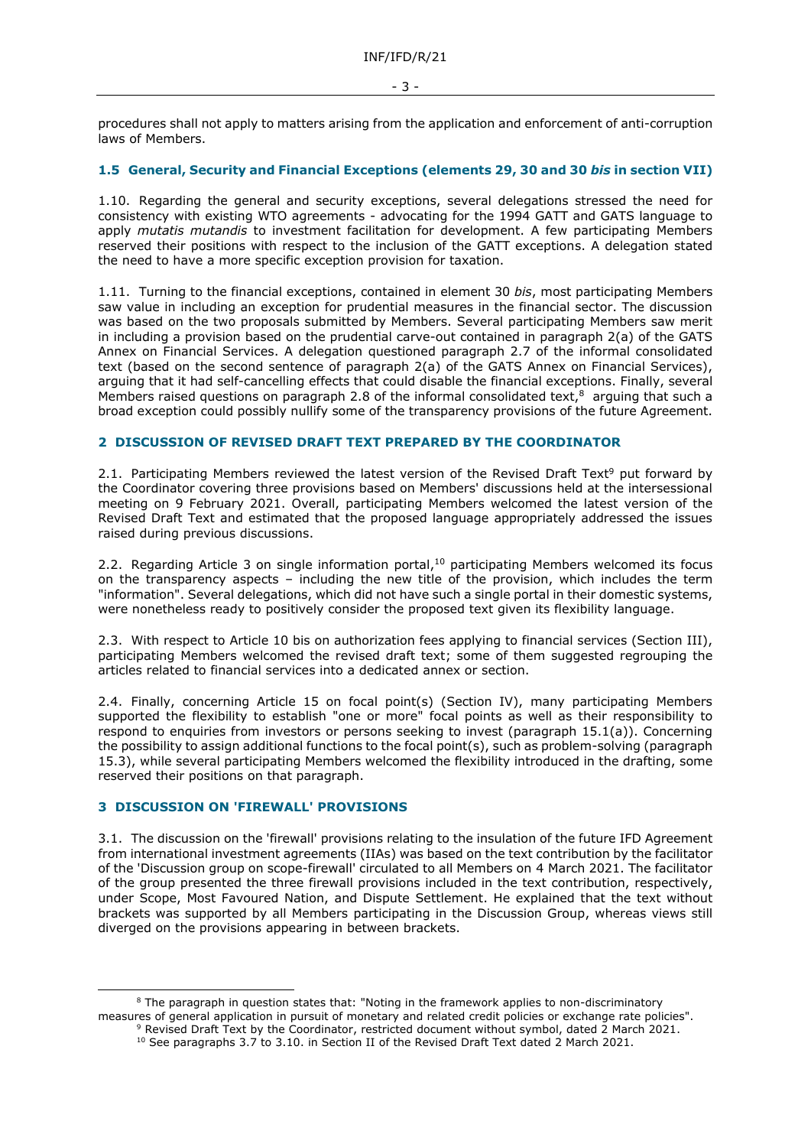procedures shall not apply to matters arising from the application and enforcement of anti-corruption laws of Members.

## **1.5 General, Security and Financial Exceptions (elements 29, 30 and 30** *bis* **in section VII)**

1.10. Regarding the general and security exceptions, several delegations stressed the need for consistency with existing WTO agreements - advocating for the 1994 GATT and GATS language to apply *mutatis mutandis* to investment facilitation for development. A few participating Members reserved their positions with respect to the inclusion of the GATT exceptions. A delegation stated the need to have a more specific exception provision for taxation.

1.11. Turning to the financial exceptions, contained in element 30 *bis*, most participating Members saw value in including an exception for prudential measures in the financial sector. The discussion was based on the two proposals submitted by Members. Several participating Members saw merit in including a provision based on the prudential carve-out contained in paragraph 2(a) of the GATS Annex on Financial Services. A delegation questioned paragraph 2.7 of the informal consolidated text (based on the second sentence of paragraph 2(a) of the GATS Annex on Financial Services), arguing that it had self-cancelling effects that could disable the financial exceptions. Finally, several Members raised questions on paragraph 2.8 of the informal consolidated text, $^8$  arguing that such a broad exception could possibly nullify some of the transparency provisions of the future Agreement.

# **2 DISCUSSION OF REVISED DRAFT TEXT PREPARED BY THE COORDINATOR**

2.1. Participating Members reviewed the latest version of the Revised Draft Text<sup>9</sup> put forward by the Coordinator covering three provisions based on Members' discussions held at the intersessional meeting on 9 February 2021. Overall, participating Members welcomed the latest version of the Revised Draft Text and estimated that the proposed language appropriately addressed the issues raised during previous discussions.

2.2. Regarding Article 3 on single information portal,<sup>10</sup> participating Members welcomed its focus on the transparency aspects – including the new title of the provision, which includes the term "information". Several delegations, which did not have such a single portal in their domestic systems, were nonetheless ready to positively consider the proposed text given its flexibility language.

2.3. With respect to Article 10 bis on authorization fees applying to financial services (Section III), participating Members welcomed the revised draft text; some of them suggested regrouping the articles related to financial services into a dedicated annex or section.

2.4. Finally, concerning Article 15 on focal point(s) (Section IV), many participating Members supported the flexibility to establish "one or more" focal points as well as their responsibility to respond to enquiries from investors or persons seeking to invest (paragraph 15.1(a)). Concerning the possibility to assign additional functions to the focal point(s), such as problem-solving (paragraph 15.3), while several participating Members welcomed the flexibility introduced in the drafting, some reserved their positions on that paragraph.

#### **3 DISCUSSION ON 'FIREWALL' PROVISIONS**

3.1. The discussion on the 'firewall' provisions relating to the insulation of the future IFD Agreement from international investment agreements (IIAs) was based on the text contribution by the facilitator of the 'Discussion group on scope-firewall' circulated to all Members on 4 March 2021. The facilitator of the group presented the three firewall provisions included in the text contribution, respectively, under Scope, Most Favoured Nation, and Dispute Settlement. He explained that the text without brackets was supported by all Members participating in the Discussion Group, whereas views still diverged on the provisions appearing in between brackets.

<sup>8</sup> The paragraph in question states that: "Noting in the framework applies to non-discriminatory measures of general application in pursuit of monetary and related credit policies or exchange rate policies". <sup>9</sup> Revised Draft Text by the Coordinator, restricted document without symbol, dated 2 March 2021.

<sup>&</sup>lt;sup>10</sup> See paragraphs 3.7 to 3.10. in Section II of the Revised Draft Text dated 2 March 2021.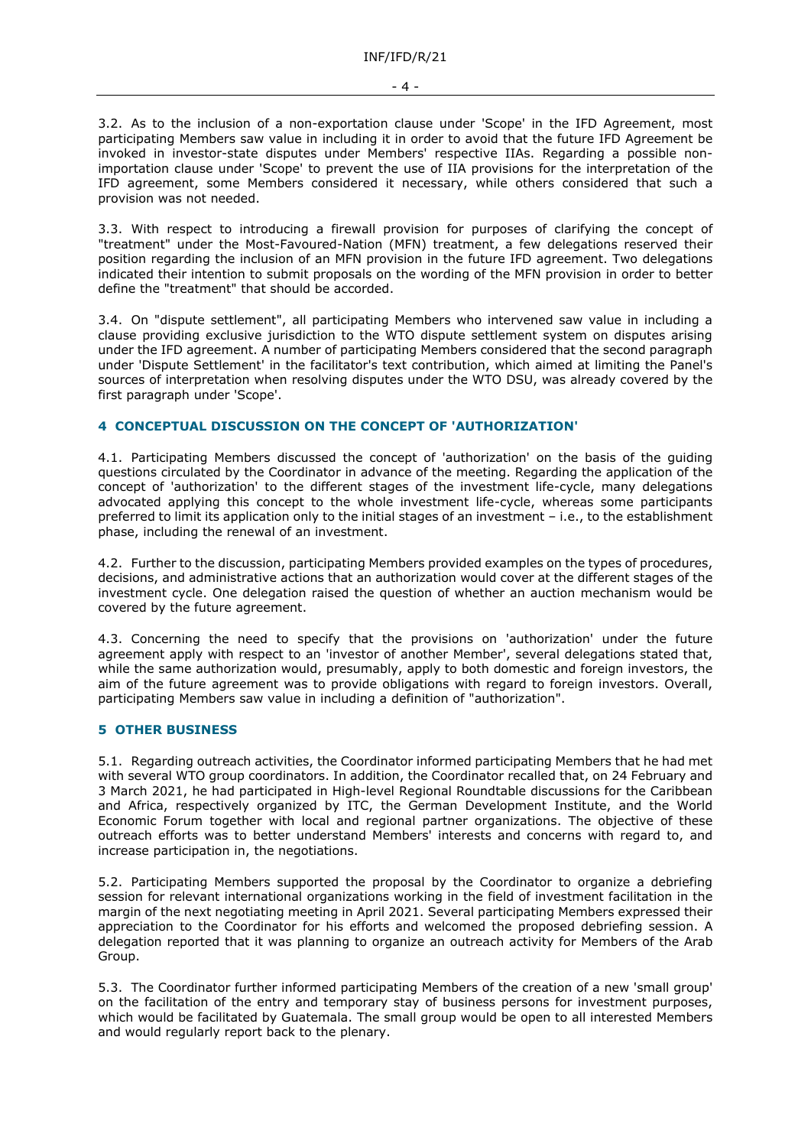3.2. As to the inclusion of a non-exportation clause under 'Scope' in the IFD Agreement, most participating Members saw value in including it in order to avoid that the future IFD Agreement be invoked in investor-state disputes under Members' respective IIAs. Regarding a possible nonimportation clause under 'Scope' to prevent the use of IIA provisions for the interpretation of the IFD agreement, some Members considered it necessary, while others considered that such a provision was not needed.

3.3. With respect to introducing a firewall provision for purposes of clarifying the concept of "treatment" under the Most-Favoured-Nation (MFN) treatment, a few delegations reserved their position regarding the inclusion of an MFN provision in the future IFD agreement. Two delegations indicated their intention to submit proposals on the wording of the MFN provision in order to better define the "treatment" that should be accorded.

3.4. On "dispute settlement", all participating Members who intervened saw value in including a clause providing exclusive jurisdiction to the WTO dispute settlement system on disputes arising under the IFD agreement. A number of participating Members considered that the second paragraph under 'Dispute Settlement' in the facilitator's text contribution, which aimed at limiting the Panel's sources of interpretation when resolving disputes under the WTO DSU, was already covered by the first paragraph under 'Scope'.

# **4 CONCEPTUAL DISCUSSION ON THE CONCEPT OF 'AUTHORIZATION'**

4.1. Participating Members discussed the concept of 'authorization' on the basis of the guiding questions circulated by the Coordinator in advance of the meeting. Regarding the application of the concept of 'authorization' to the different stages of the investment life-cycle, many delegations advocated applying this concept to the whole investment life-cycle, whereas some participants preferred to limit its application only to the initial stages of an investment – i.e., to the establishment phase, including the renewal of an investment.

4.2. Further to the discussion, participating Members provided examples on the types of procedures, decisions, and administrative actions that an authorization would cover at the different stages of the investment cycle. One delegation raised the question of whether an auction mechanism would be covered by the future agreement.

4.3. Concerning the need to specify that the provisions on 'authorization' under the future agreement apply with respect to an 'investor of another Member', several delegations stated that, while the same authorization would, presumably, apply to both domestic and foreign investors, the aim of the future agreement was to provide obligations with regard to foreign investors. Overall, participating Members saw value in including a definition of "authorization".

#### **5 OTHER BUSINESS**

5.1. Regarding outreach activities, the Coordinator informed participating Members that he had met with several WTO group coordinators. In addition, the Coordinator recalled that, on 24 February and 3 March 2021, he had participated in High-level Regional Roundtable discussions for the Caribbean and Africa, respectively organized by ITC, the German Development Institute, and the World Economic Forum together with local and regional partner organizations. The objective of these outreach efforts was to better understand Members' interests and concerns with regard to, and increase participation in, the negotiations.

5.2. Participating Members supported the proposal by the Coordinator to organize a debriefing session for relevant international organizations working in the field of investment facilitation in the margin of the next negotiating meeting in April 2021. Several participating Members expressed their appreciation to the Coordinator for his efforts and welcomed the proposed debriefing session. A delegation reported that it was planning to organize an outreach activity for Members of the Arab Group.

5.3. The Coordinator further informed participating Members of the creation of a new 'small group' on the facilitation of the entry and temporary stay of business persons for investment purposes, which would be facilitated by Guatemala. The small group would be open to all interested Members and would regularly report back to the plenary.